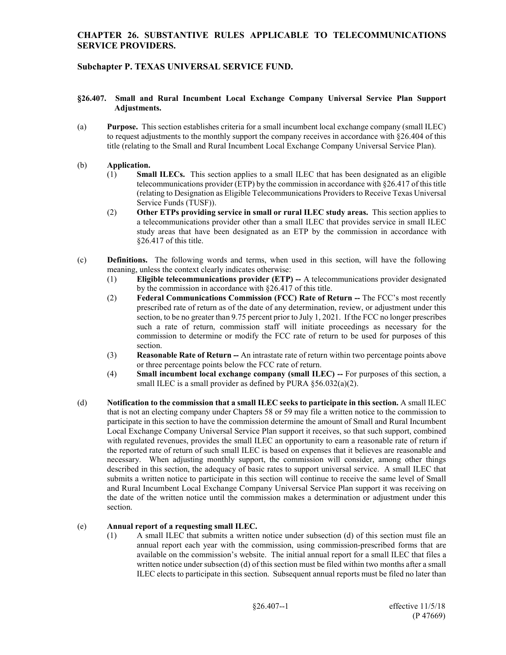# **Subchapter P. TEXAS UNIVERSAL SERVICE FUND.**

#### **§26.407. Small and Rural Incumbent Local Exchange Company Universal Service Plan Support Adjustments.**

(a) **Purpose.** This section establishes criteria for a small incumbent local exchange company (small ILEC) to request adjustments to the monthly support the company receives in accordance with §26.404 of this title (relating to the Small and Rural Incumbent Local Exchange Company Universal Service Plan).

#### (b) **Application.**

- (1) **Small ILECs.** This section applies to a small ILEC that has been designated as an eligible telecommunications provider (ETP) by the commission in accordance with  $\S 26.417$  of this title (relating to Designation as Eligible Telecommunications Providers to Receive Texas Universal Service Funds (TUSF)).
- (2) **Other ETPs providing service in small or rural ILEC study areas.** This section applies to a telecommunications provider other than a small ILEC that provides service in small ILEC study areas that have been designated as an ETP by the commission in accordance with §26.417 of this title.
- (c) **Definitions.** The following words and terms, when used in this section, will have the following meaning, unless the context clearly indicates otherwise:
	- (1) **Eligible telecommunications provider (ETP) --** A telecommunications provider designated by the commission in accordance with §26.417 of this title.
	- (2) **Federal Communications Commission (FCC) Rate of Return --** The FCC's most recently prescribed rate of return as of the date of any determination, review, or adjustment under this section, to be no greater than 9.75 percent prior to July 1, 2021. If the FCC no longer prescribes such a rate of return, commission staff will initiate proceedings as necessary for the commission to determine or modify the FCC rate of return to be used for purposes of this section.
	- (3) **Reasonable Rate of Return --** An intrastate rate of return within two percentage points above or three percentage points below the FCC rate of return.
	- (4) **Small incumbent local exchange company (small ILEC) --** For purposes of this section, a small ILEC is a small provider as defined by PURA §56.032(a)(2).
- (d) **Notification to the commission that a small ILEC seeks to participate in this section.** A small ILEC that is not an electing company under Chapters 58 or 59 may file a written notice to the commission to participate in this section to have the commission determine the amount of Small and Rural Incumbent Local Exchange Company Universal Service Plan support it receives, so that such support, combined with regulated revenues, provides the small ILEC an opportunity to earn a reasonable rate of return if the reported rate of return of such small ILEC is based on expenses that it believes are reasonable and necessary. When adjusting monthly support, the commission will consider, among other things described in this section, the adequacy of basic rates to support universal service. A small ILEC that submits a written notice to participate in this section will continue to receive the same level of Small and Rural Incumbent Local Exchange Company Universal Service Plan support it was receiving on the date of the written notice until the commission makes a determination or adjustment under this section.

## (e) **Annual report of a requesting small ILEC.**

(1) A small ILEC that submits a written notice under subsection (d) of this section must file an annual report each year with the commission, using commission-prescribed forms that are available on the commission's website. The initial annual report for a small ILEC that files a written notice under subsection (d) of this section must be filed within two months after a small ILEC elects to participate in this section. Subsequent annual reports must be filed no later than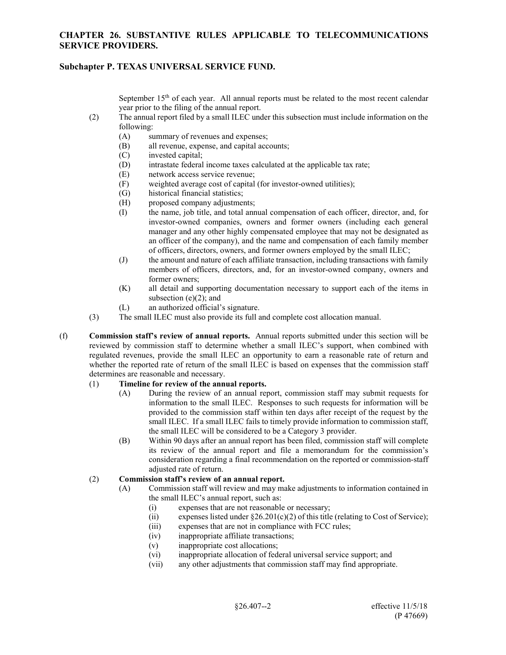### **Subchapter P. TEXAS UNIVERSAL SERVICE FUND.**

September 15<sup>th</sup> of each year. All annual reports must be related to the most recent calendar year prior to the filing of the annual report.

- (2) The annual report filed by a small ILEC under this subsection must include information on the following:
	- (A) summary of revenues and expenses;
	- (B) all revenue, expense, and capital accounts;
	- (C) invested capital;
	- (D) intrastate federal income taxes calculated at the applicable tax rate;
	- (E) network access service revenue;
	- (F) weighted average cost of capital (for investor-owned utilities);
	- (G) historical financial statistics;
	- (H) proposed company adjustments;
	- (I) the name, job title, and total annual compensation of each officer, director, and, for investor-owned companies, owners and former owners (including each general manager and any other highly compensated employee that may not be designated as an officer of the company), and the name and compensation of each family member of officers, directors, owners, and former owners employed by the small ILEC;
	- (J) the amount and nature of each affiliate transaction, including transactions with family members of officers, directors, and, for an investor-owned company, owners and former owners;
	- (K) all detail and supporting documentation necessary to support each of the items in subsection  $(e)(2)$ ; and
	- (L) an authorized official's signature.
- (3) The small ILEC must also provide its full and complete cost allocation manual.
- (f) **Commission staff's review of annual reports.** Annual reports submitted under this section will be reviewed by commission staff to determine whether a small ILEC's support, when combined with regulated revenues, provide the small ILEC an opportunity to earn a reasonable rate of return and whether the reported rate of return of the small ILEC is based on expenses that the commission staff determines are reasonable and necessary.

## (1) **Timeline for review of the annual reports.**

- (A) During the review of an annual report, commission staff may submit requests for information to the small ILEC. Responses to such requests for information will be provided to the commission staff within ten days after receipt of the request by the small ILEC. If a small ILEC fails to timely provide information to commission staff, the small ILEC will be considered to be a Category 3 provider.
- (B) Within 90 days after an annual report has been filed, commission staff will complete its review of the annual report and file a memorandum for the commission's consideration regarding a final recommendation on the reported or commission-staff adjusted rate of return.

#### (2) **Commission staff's review of an annual report.**

- (A) Commission staff will review and may make adjustments to information contained in the small ILEC's annual report, such as:
	- (i) expenses that are not reasonable or necessary;
	- (ii) expenses listed under  $\S26.201(c)(2)$  of this title (relating to Cost of Service);
	- (iii) expenses that are not in compliance with FCC rules;
	- (iv) inappropriate affiliate transactions;
	- (v) inappropriate cost allocations;
	- (vi) inappropriate allocation of federal universal service support; and
	- (vii) any other adjustments that commission staff may find appropriate.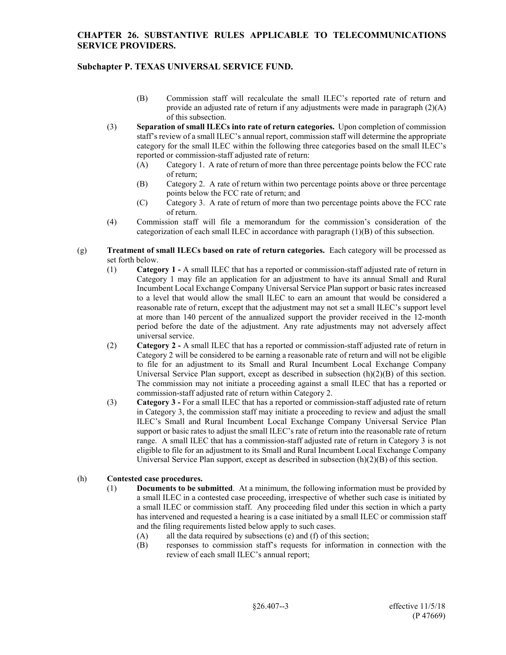# **Subchapter P. TEXAS UNIVERSAL SERVICE FUND.**

- (B) Commission staff will recalculate the small ILEC's reported rate of return and provide an adjusted rate of return if any adjustments were made in paragraph  $(2)(A)$ of this subsection.
- (3) **Separation of small ILECs into rate of return categories.** Upon completion of commission staff's review of a small ILEC's annual report, commission staff will determine the appropriate category for the small ILEC within the following three categories based on the small ILEC's reported or commission-staff adjusted rate of return:
	- (A) Category 1. A rate of return of more than three percentage points below the FCC rate of return;
	- (B) Category 2. A rate of return within two percentage points above or three percentage points below the FCC rate of return; and
	- (C) Category 3. A rate of return of more than two percentage points above the FCC rate of return.
- (4) Commission staff will file a memorandum for the commission's consideration of the categorization of each small ILEC in accordance with paragraph (1)(B) of this subsection.
- (g) **Treatment of small ILECs based on rate of return categories.** Each category will be processed as set forth below.
	- (1) **Category 1 -** A small ILEC that has a reported or commission-staff adjusted rate of return in Category 1 may file an application for an adjustment to have its annual Small and Rural Incumbent Local Exchange Company Universal Service Plan support or basic rates increased to a level that would allow the small ILEC to earn an amount that would be considered a reasonable rate of return, except that the adjustment may not set a small ILEC's support level at more than 140 percent of the annualized support the provider received in the 12-month period before the date of the adjustment. Any rate adjustments may not adversely affect universal service.
	- (2) **Category 2 -** A small ILEC that has a reported or commission-staff adjusted rate of return in Category 2 will be considered to be earning a reasonable rate of return and will not be eligible to file for an adjustment to its Small and Rural Incumbent Local Exchange Company Universal Service Plan support, except as described in subsection  $(h)(2)(B)$  of this section. The commission may not initiate a proceeding against a small ILEC that has a reported or commission-staff adjusted rate of return within Category 2.
	- (3) **Category 3 -** For a small ILEC that has a reported or commission-staff adjusted rate of return in Category 3, the commission staff may initiate a proceeding to review and adjust the small ILEC's Small and Rural Incumbent Local Exchange Company Universal Service Plan support or basic rates to adjust the small ILEC's rate of return into the reasonable rate of return range. A small ILEC that has a commission-staff adjusted rate of return in Category 3 is not eligible to file for an adjustment to its Small and Rural Incumbent Local Exchange Company Universal Service Plan support, except as described in subsection (h)(2)(B) of this section.

#### (h) **Contested case procedures.**

- (1) **Documents to be submitted**. At a minimum, the following information must be provided by a small ILEC in a contested case proceeding, irrespective of whether such case is initiated by a small ILEC or commission staff. Any proceeding filed under this section in which a party has intervened and requested a hearing is a case initiated by a small ILEC or commission staff and the filing requirements listed below apply to such cases.
	- (A) all the data required by subsections (e) and (f) of this section;<br>(B) responses to commission staff's requests for information in
	- responses to commission staff's requests for information in connection with the review of each small ILEC's annual report;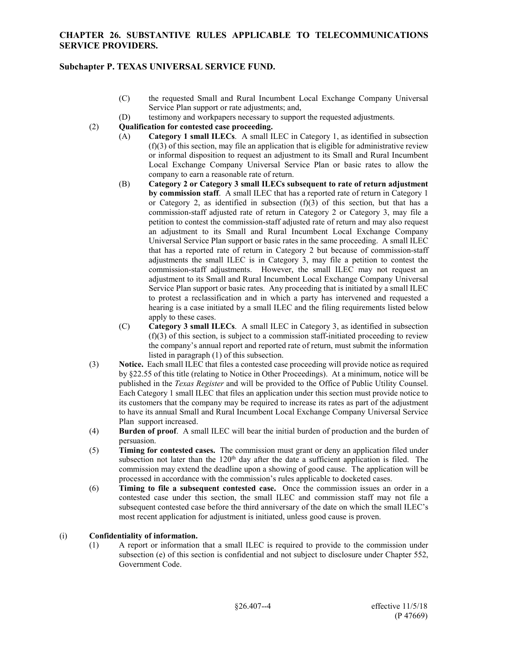### **Subchapter P. TEXAS UNIVERSAL SERVICE FUND.**

- (C) the requested Small and Rural Incumbent Local Exchange Company Universal Service Plan support or rate adjustments; and,
- (D) testimony and workpapers necessary to support the requested adjustments.
- (2) **Qualification for contested case proceeding.**
	- (A) **Category 1 small ILECs**. A small ILEC in Category 1, as identified in subsection  $(f)(3)$  of this section, may file an application that is eligible for administrative review or informal disposition to request an adjustment to its Small and Rural Incumbent Local Exchange Company Universal Service Plan or basic rates to allow the company to earn a reasonable rate of return.
	- (B) **Category 2 or Category 3 small ILECs subsequent to rate of return adjustment by commission staff**. A small ILEC that has a reported rate of return in Category 1 or Category 2, as identified in subsection  $(f)(3)$  of this section, but that has a commission-staff adjusted rate of return in Category 2 or Category 3, may file a petition to contest the commission-staff adjusted rate of return and may also request an adjustment to its Small and Rural Incumbent Local Exchange Company Universal Service Plan support or basic rates in the same proceeding. A small ILEC that has a reported rate of return in Category 2 but because of commission-staff adjustments the small ILEC is in Category 3, may file a petition to contest the commission-staff adjustments. However, the small ILEC may not request an adjustment to its Small and Rural Incumbent Local Exchange Company Universal Service Plan support or basic rates. Any proceeding that is initiated by a small ILEC to protest a reclassification and in which a party has intervened and requested a hearing is a case initiated by a small ILEC and the filing requirements listed below apply to these cases.
	- (C) **Category 3 small ILECs**. A small ILEC in Category 3, as identified in subsection (f)(3) of this section, is subject to a commission staff-initiated proceeding to review the company's annual report and reported rate of return, must submit the information listed in paragraph (1) of this subsection.
- (3) **Notice.** Each small ILEC that files a contested case proceeding will provide notice as required by §22.55 of this title (relating to Notice in Other Proceedings). At a minimum, notice will be published in the *Texas Register* and will be provided to the Office of Public Utility Counsel. Each Category 1 small ILEC that files an application under this section must provide notice to its customers that the company may be required to increase its rates as part of the adjustment to have its annual Small and Rural Incumbent Local Exchange Company Universal Service Plan support increased.
- (4) **Burden of proof**. A small ILEC will bear the initial burden of production and the burden of persuasion.
- (5) **Timing for contested cases.** The commission must grant or deny an application filed under subsection not later than the 120<sup>th</sup> day after the date a sufficient application is filed. The commission may extend the deadline upon a showing of good cause. The application will be processed in accordance with the commission's rules applicable to docketed cases.
- (6) **Timing to file a subsequent contested case.** Once the commission issues an order in a contested case under this section, the small ILEC and commission staff may not file a subsequent contested case before the third anniversary of the date on which the small ILEC's most recent application for adjustment is initiated, unless good cause is proven.

#### (i) **Confidentiality of information.**

(1) A report or information that a small ILEC is required to provide to the commission under subsection (e) of this section is confidential and not subject to disclosure under Chapter 552, Government Code.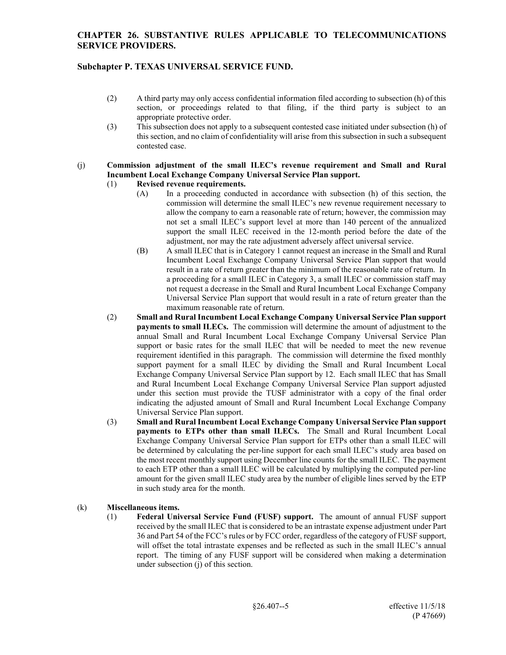## **Subchapter P. TEXAS UNIVERSAL SERVICE FUND.**

- (2) A third party may only access confidential information filed according to subsection (h) of this section, or proceedings related to that filing, if the third party is subject to an appropriate protective order.
- (3) This subsection does not apply to a subsequent contested case initiated under subsection (h) of this section, and no claim of confidentiality will arise from this subsection in such a subsequent contested case.

#### (j) **Commission adjustment of the small ILEC's revenue requirement and Small and Rural Incumbent Local Exchange Company Universal Service Plan support.**

#### (1) **Revised revenue requirements.**

- (A) In a proceeding conducted in accordance with subsection (h) of this section, the commission will determine the small ILEC's new revenue requirement necessary to allow the company to earn a reasonable rate of return; however, the commission may not set a small ILEC's support level at more than 140 percent of the annualized support the small ILEC received in the 12-month period before the date of the adjustment, nor may the rate adjustment adversely affect universal service.
- (B) A small ILEC that is in Category 1 cannot request an increase in the Small and Rural Incumbent Local Exchange Company Universal Service Plan support that would result in a rate of return greater than the minimum of the reasonable rate of return. In a proceeding for a small ILEC in Category 3, a small ILEC or commission staff may not request a decrease in the Small and Rural Incumbent Local Exchange Company Universal Service Plan support that would result in a rate of return greater than the maximum reasonable rate of return.
- (2) **Small and Rural Incumbent Local Exchange Company Universal Service Plan support payments to small ILECs.** The commission will determine the amount of adjustment to the annual Small and Rural Incumbent Local Exchange Company Universal Service Plan support or basic rates for the small ILEC that will be needed to meet the new revenue requirement identified in this paragraph. The commission will determine the fixed monthly support payment for a small ILEC by dividing the Small and Rural Incumbent Local Exchange Company Universal Service Plan support by 12. Each small ILEC that has Small and Rural Incumbent Local Exchange Company Universal Service Plan support adjusted under this section must provide the TUSF administrator with a copy of the final order indicating the adjusted amount of Small and Rural Incumbent Local Exchange Company Universal Service Plan support.
- (3) **Small and Rural Incumbent Local Exchange Company Universal Service Plan support payments to ETPs other than small ILECs.** The Small and Rural Incumbent Local Exchange Company Universal Service Plan support for ETPs other than a small ILEC will be determined by calculating the per-line support for each small ILEC's study area based on the most recent monthly support using December line counts for the small ILEC. The payment to each ETP other than a small ILEC will be calculated by multiplying the computed per-line amount for the given small ILEC study area by the number of eligible lines served by the ETP in such study area for the month.

## (k) **Miscellaneous items.**

(1) **Federal Universal Service Fund (FUSF) support.** The amount of annual FUSF support received by the small ILEC that is considered to be an intrastate expense adjustment under Part 36 and Part 54 of the FCC's rules or by FCC order, regardless of the category of FUSF support, will offset the total intrastate expenses and be reflected as such in the small ILEC's annual report. The timing of any FUSF support will be considered when making a determination under subsection (j) of this section.